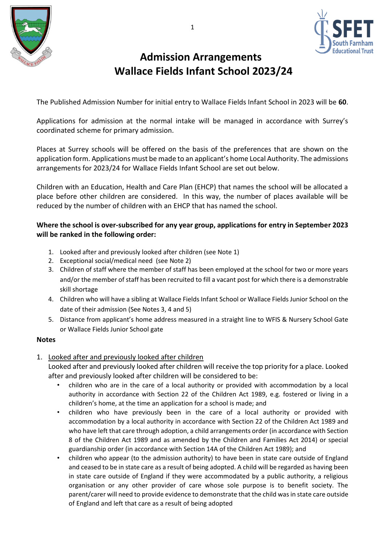



# **Admission Arrangements Wallace Fields Infant School 2023/24**

The Published Admission Number for initial entry to Wallace Fields Infant School in 2023 will be **60**.

Applications for admission at the normal intake will be managed in accordance with Surrey's coordinated scheme for primary admission.

Places at Surrey schools will be offered on the basis of the preferences that are shown on the application form. Applications must be made to an applicant's home Local Authority. The admissions arrangements for 2023/24 for Wallace Fields Infant School are set out below.

Children with an Education, Health and Care Plan (EHCP) that names the school will be allocated a place before other children are considered. In this way, the number of places available will be reduced by the number of children with an EHCP that has named the school.

## **Where the school is over-subscribed for any year group, applications for entry in September 2023 will be ranked in the following order:**

- 1. Looked after and previously looked after children (see Note 1)
- 2. Exceptional social/medical need (see Note 2)
- 3. Children of staff where the member of staff has been employed at the school for two or more years and/or the member of staff has been recruited to fill a vacant post for which there is a demonstrable skill shortage
- 4. Children who will have a sibling at Wallace Fields Infant School or Wallace Fields Junior School on the date of their admission (See Notes 3, 4 and 5)
- 5. Distance from applicant's home address measured in a straight line to WFIS & Nursery School Gate or Wallace Fields Junior School gate

#### **Notes**

1. Looked after and previously looked after children

Looked after and previously looked after children will receive the top priority for a place. Looked after and previously looked after children will be considered to be:

- children who are in the care of a local authority or provided with accommodation by a local authority in accordance with Section 22 of the Children Act 1989, e.g. fostered or living in a children's home, at the time an application for a school is made; and
- children who have previously been in the care of a local authority or provided with accommodation by a local authority in accordance with Section 22 of the Children Act 1989 and who have left that care through adoption, a child arrangements order (in accordance with Section 8 of the Children Act 1989 and as amended by the Children and Families Act 2014) or special guardianship order (in accordance with Section 14A of the Children Act 1989); and
- children who appear (to the admission authority) to have been in state care outside of England and ceased to be in state care as a result of being adopted. A child will be regarded as having been in state care outside of England if they were accommodated by a public authority, a religious organisation or any other provider of care whose sole purpose is to benefit society. The parent/carer will need to provide evidence to demonstrate that the child was in state care outside of England and left that care as a result of being adopted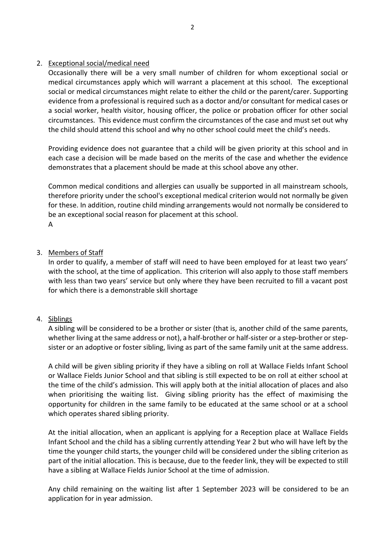### 2. Exceptional social/medical need

Occasionally there will be a very small number of children for whom exceptional social or medical circumstances apply which will warrant a placement at this school. The exceptional social or medical circumstances might relate to either the child or the parent/carer. Supporting evidence from a professional is required such as a doctor and/or consultant for medical cases or a social worker, health visitor, housing officer, the police or probation officer for other social circumstances. This evidence must confirm the circumstances of the case and must set out why the child should attend this school and why no other school could meet the child's needs.

Providing evidence does not guarantee that a child will be given priority at this school and in each case a decision will be made based on the merits of the case and whether the evidence demonstrates that a placement should be made at this school above any other.

Common medical conditions and allergies can usually be supported in all mainstream schools, therefore priority under the school's exceptional medical criterion would not normally be given for these. In addition, routine child minding arrangements would not normally be considered to be an exceptional social reason for placement at this school. A

#### 3. Members of Staff

In order to qualify, a member of staff will need to have been employed for at least two years' with the school, at the time of application. This criterion will also apply to those staff members with less than two years' service but only where they have been recruited to fill a vacant post for which there is a demonstrable skill shortage

### 4. Siblings

A sibling will be considered to be a brother or sister (that is, another child of the same parents, whether living at the same address or not), a half-brother or half-sister or a step-brother or stepsister or an adoptive or foster sibling, living as part of the same family unit at the same address.

A child will be given sibling priority if they have a sibling on roll at Wallace Fields Infant School or Wallace Fields Junior School and that sibling is still expected to be on roll at either school at the time of the child's admission. This will apply both at the initial allocation of places and also when prioritising the waiting list. Giving sibling priority has the effect of maximising the opportunity for children in the same family to be educated at the same school or at a school which operates shared sibling priority.

At the initial allocation, when an applicant is applying for a Reception place at Wallace Fields Infant School and the child has a sibling currently attending Year 2 but who will have left by the time the younger child starts, the younger child will be considered under the sibling criterion as part of the initial allocation. This is because, due to the feeder link, they will be expected to still have a sibling at Wallace Fields Junior School at the time of admission.

Any child remaining on the waiting list after 1 September 2023 will be considered to be an application for in year admission.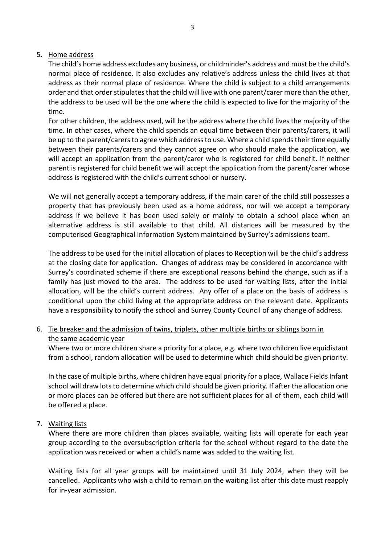### 5. Home address

The child's home address excludes any business, or childminder's address and must be the child's normal place of residence. It also excludes any relative's address unless the child lives at that address as their normal place of residence. Where the child is subject to a child arrangements order and that order stipulates that the child will live with one parent/carer more than the other, the address to be used will be the one where the child is expected to live for the majority of the time.

For other children, the address used, will be the address where the child lives the majority of the time. In other cases, where the child spends an equal time between their parents/carers, it will be up to the parent/carers to agree which address to use. Where a child spends their time equally between their parents/carers and they cannot agree on who should make the application, we will accept an application from the parent/carer who is registered for child benefit. If neither parent is registered for child benefit we will accept the application from the parent/carer whose address is registered with the child's current school or nursery.

We will not generally accept a temporary address, if the main carer of the child still possesses a property that has previously been used as a home address, nor will we accept a temporary address if we believe it has been used solely or mainly to obtain a school place when an alternative address is still available to that child. All distances will be measured by the computerised Geographical Information System maintained by Surrey's admissions team.

The address to be used for the initial allocation of places to Reception will be the child's address at the closing date for application. Changes of address may be considered in accordance with Surrey's coordinated scheme if there are exceptional reasons behind the change, such as if a family has just moved to the area. The address to be used for waiting lists, after the initial allocation, will be the child's current address. Any offer of a place on the basis of address is conditional upon the child living at the appropriate address on the relevant date. Applicants have a responsibility to notify the school and Surrey County Council of any change of address.

6. Tie breaker and the admission of twins, triplets, other multiple births or siblings born in the same academic year

Where two or more children share a priority for a place, e.g. where two children live equidistant from a school, random allocation will be used to determine which child should be given priority.

In the case of multiple births, where children have equal priority for a place, Wallace Fields Infant school will draw lots to determine which child should be given priority. If after the allocation one or more places can be offered but there are not sufficient places for all of them, each child will be offered a place.

### 7. Waiting lists

Where there are more children than places available, waiting lists will operate for each year group according to the oversubscription criteria for the school without regard to the date the application was received or when a child's name was added to the waiting list.

Waiting lists for all year groups will be maintained until 31 July 2024, when they will be cancelled. Applicants who wish a child to remain on the waiting list after this date must reapply for in-year admission.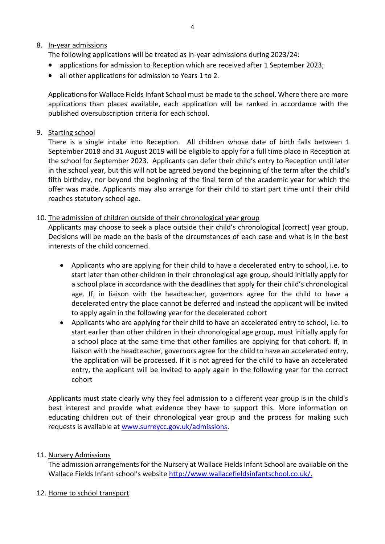# 8. In-year admissions

The following applications will be treated as in-year admissions during 2023/24:

- applications for admission to Reception which are received after 1 September 2023;
- all other applications for admission to Years 1 to 2.

Applications for Wallace Fields Infant School must be made to the school. Where there are more applications than places available, each application will be ranked in accordance with the published oversubscription criteria for each school.

# 9. Starting school

There is a single intake into Reception. All children whose date of birth falls between 1 September 2018 and 31 August 2019 will be eligible to apply for a full time place in Reception at the school for September 2023. Applicants can defer their child's entry to Reception until later in the school year, but this will not be agreed beyond the beginning of the term after the child's fifth birthday, nor beyond the beginning of the final term of the academic year for which the offer was made. Applicants may also arrange for their child to start part time until their child reaches statutory school age.

# 10. The admission of children outside of their chronological year group

Applicants may choose to seek a place outside their child's chronological (correct) year group. Decisions will be made on the basis of the circumstances of each case and what is in the best interests of the child concerned.

- Applicants who are applying for their child to have a decelerated entry to school, i.e. to start later than other children in their chronological age group, should initially apply for a school place in accordance with the deadlines that apply for their child's chronological age. If, in liaison with the headteacher, governors agree for the child to have a decelerated entry the place cannot be deferred and instead the applicant will be invited to apply again in the following year for the decelerated cohort
- Applicants who are applying for their child to have an accelerated entry to school, i.e. to start earlier than other children in their chronological age group, must initially apply for a school place at the same time that other families are applying for that cohort. If, in liaison with the headteacher, governors agree for the child to have an accelerated entry, the application will be processed. If it is not agreed for the child to have an accelerated entry, the applicant will be invited to apply again in the following year for the correct cohort

Applicants must state clearly why they feel admission to a different year group is in the child's best interest and provide what evidence they have to support this. More information on educating children out of their chronological year group and the process for making such requests is available at [www.surreycc.gov.uk/admissions.](http://www.surreycc.gov.uk/admissions)

### 11. Nursery Admissions

The admission arrangements for the Nursery at Wallace Fields Infant School are available on the Wallace Fields Infant school's website [http://www.wallacefieldsinfantschool.co.uk/.](http://www.wallacefieldsinfantschool.co.uk/)

12. Home to school transport